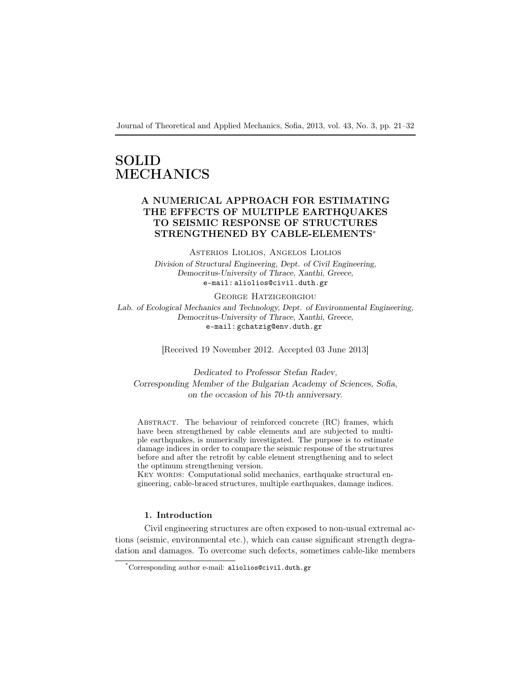# SOLID **MECHANICS**

## A NUMERICAL APPROACH FOR ESTIMATING THE EFFECTS OF MULTIPLE EARTHQUAKES TO SEISMIC RESPONSE OF STRUCTURES STRENGTHENED BY CABLE-ELEMENTS<sup>∗</sup>

Asterios Liolios, Angelos Liolios Division of Structural Engineering, Dept. of Civil Engineering, Democritus-University of Thrace, Xanthi, Greece, e-mail: aliolios@civil.duth.gr

George Hatzigeorgiou Lab. of Ecological Mechanics and Technology, Dept. of Environmental Engineering, Democritus-University of Thrace, Xanthi, Greece, e-mail: gchatzig@env.duth.gr

[Received 19 November 2012. Accepted 03 June 2013]

Dedicated to Professor Stefan Radev, Corresponding Member of the Bulgarian Academy of Sciences, Sofia, on the occasion of his 70-th anniversary.

Abstract. The behaviour of reinforced concrete (RC) frames, which have been strengthened by cable elements and are subjected to multiple earthquakes, is numerically investigated. The purpose is to estimate damage indices in order to compare the seismic response of the structures before and after the retrofit by cable element strengthening and to select the optimum strengthening version.

KEY WORDS: Computational solid mechanics, earthquake structural engineering, cable-braced structures, multiple earthquakes, damage indices.

### 1. Introduction

Civil engineering structures are often exposed to non-usual extremal actions (seismic, environmental etc.), which can cause significant strength degradation and damages. To overcome such defects, sometimes cable-like members

<sup>\*</sup>Corresponding author e-mail: aliolios@civil.duth.gr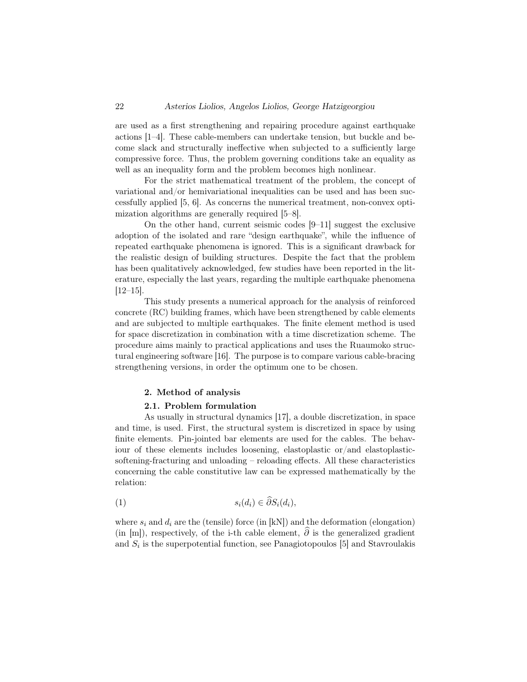### 22 Asterios Liolios, Angelos Liolios, George Hatzigeorgiou

are used as a first strengthening and repairing procedure against earthquake actions [1–4]. These cable-members can undertake tension, but buckle and become slack and structurally ineffective when subjected to a sufficiently large compressive force. Thus, the problem governing conditions take an equality as well as an inequality form and the problem becomes high nonlinear.

For the strict mathematical treatment of the problem, the concept of variational and/or hemivariational inequalities can be used and has been successfully applied [5, 6]. As concerns the numerical treatment, non-convex optimization algorithms are generally required [5–8].

On the other hand, current seismic codes [9–11] suggest the exclusive adoption of the isolated and rare "design earthquake", while the influence of repeated earthquake phenomena is ignored. This is a significant drawback for the realistic design of building structures. Despite the fact that the problem has been qualitatively acknowledged, few studies have been reported in the literature, especially the last years, regarding the multiple earthquake phenomena [12–15].

This study presents a numerical approach for the analysis of reinforced concrete (RC) building frames, which have been strengthened by cable elements and are subjected to multiple earthquakes. The finite element method is used for space discretization in combination with a time discretization scheme. The procedure aims mainly to practical applications and uses the Ruaumoko structural engineering software [16]. The purpose is to compare various cable-bracing strengthening versions, in order the optimum one to be chosen.

#### 2. Method of analysis

#### 2.1. Problem formulation

As usually in structural dynamics [17], a double discretization, in space and time, is used. First, the structural system is discretized in space by using finite elements. Pin-jointed bar elements are used for the cables. The behaviour of these elements includes loosening, elastoplastic or/and elastoplasticsoftening-fracturing and unloading – reloading effects. All these characteristics concerning the cable constitutive law can be expressed mathematically by the relation:

$$
(1) \t s_i(d_i) \in \partial S_i(d_i),
$$

where  $s_i$  and  $d_i$  are the (tensile) force (in [kN]) and the deformation (elongation) (in [m]), respectively, of the i-th cable element,  $\hat{\partial}$  is the generalized gradient and  $S_i$  is the superpotential function, see Panagiotopoulos [5] and Stavroulakis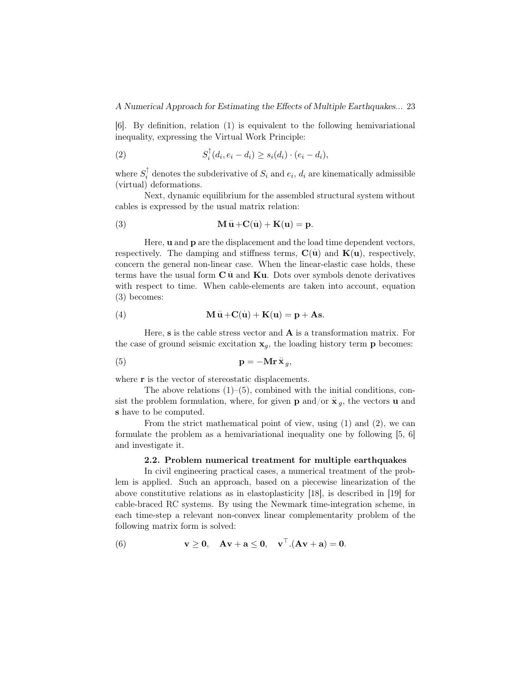A Numerical Approach for Estimating the Effects of Multiple Earthquakes... 23

[6]. By definition, relation (1) is equivalent to the following hemivariational inequality, expressing the Virtual Work Principle:

(2) 
$$
S_i^{\uparrow}(d_i, e_i - d_i) \geq s_i(d_i) \cdot (e_i - d_i),
$$

where  $S_i^{\uparrow}$  $i_i$  denotes the subderivative of  $S_i$  and  $e_i$ ,  $d_i$  are kinematically admissible (virtual) deformations.

Next, dynamic equilibrium for the assembled structural system without cables is expressed by the usual matrix relation:

(3) 
$$
\mathbf{M}\ddot{\mathbf{u}} + \mathbf{C}(\dot{\mathbf{u}}) + \mathbf{K}(\mathbf{u}) = \mathbf{p}.
$$

Here, u and p are the displacement and the load time dependent vectors, respectively. The damping and stiffness terms,  $\mathbf{C}(\mathbf{u})$  and  $\mathbf{K}(\mathbf{u})$ , respectively, concern the general non-linear case. When the linear-elastic case holds, these terms have the usual form C **u** and **Ku**. Dots over symbols denote derivatives with respect to time. When cable-elements are taken into account, equation (3) becomes:

(4) 
$$
\mathbf{M} \ddot{\mathbf{u}} + \mathbf{C}(\dot{\mathbf{u}}) + \mathbf{K}(\mathbf{u}) = \mathbf{p} + \mathbf{A}\mathbf{s}.
$$

Here,  $s$  is the cable stress vector and  $A$  is a transformation matrix. For the case of ground seismic excitation  $x_g$ , the loading history term **p** becomes:

(5) 
$$
\mathbf{p} = -\mathbf{M}\mathbf{r}\ddot{\mathbf{x}}_g,
$$

where **r** is the vector of stereostatic displacements.

The above relations  $(1)$ – $(5)$ , combined with the initial conditions, consist the problem formulation, where, for given **p** and/or  $\ddot{\mathbf{x}}_g$ , the vectors **u** and s have to be computed.

From the strict mathematical point of view, using (1) and (2), we can formulate the problem as a hemivariational inequality one by following [5, 6] and investigate it.

#### 2.2. Problem numerical treatment for multiple earthquakes

In civil engineering practical cases, a numerical treatment of the problem is applied. Such an approach, based on a piecewise linearization of the above constitutive relations as in elastoplasticity [18], is described in [19] for cable-braced RC systems. By using the Newmark time-integration scheme, in each time-step a relevant non-convex linear complementarity problem of the following matrix form is solved:

(6) 
$$
\mathbf{v} \geq \mathbf{0}, \quad \mathbf{A}\mathbf{v} + \mathbf{a} \leq \mathbf{0}, \quad \mathbf{v}^\top .(\mathbf{A}\mathbf{v} + \mathbf{a}) = \mathbf{0}.
$$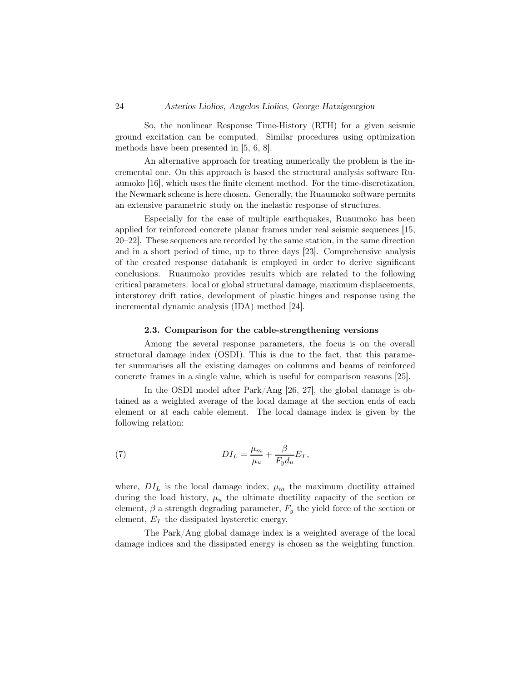So, the nonlinear Response Time-History (RTH) for a given seismic ground excitation can be computed. Similar procedures using optimization methods have been presented in [5, 6, 8].

An alternative approach for treating numerically the problem is the incremental one. On this approach is based the structural analysis software Ruaumoko [16], which uses the finite element method. For the time-discretization, the Newmark scheme is here chosen. Generally, the Ruaumoko software permits an extensive parametric study on the inelastic response of structures.

Especially for the case of multiple earthquakes, Ruaumoko has been applied for reinforced concrete planar frames under real seismic sequences [15, 20–22]. These sequences are recorded by the same station, in the same direction and in a short period of time, up to three days [23]. Comprehensive analysis of the created response databank is employed in order to derive significant conclusions. Ruaumoko provides results which are related to the following critical parameters: local or global structural damage, maximum displacements, interstorey drift ratios, development of plastic hinges and response using the incremental dynamic analysis (IDA) method [24].

#### 2.3. Comparison for the cable-strengthening versions

Among the several response parameters, the focus is on the overall structural damage index (OSDI). This is due to the fact, that this parameter summarises all the existing damages on columns and beams of reinforced concrete frames in a single value, which is useful for comparison reasons [25].

In the OSDI model after Park/Ang [26, 27], the global damage is obtained as a weighted average of the local damage at the section ends of each element or at each cable element. The local damage index is given by the following relation:

(7) 
$$
DI_L = \frac{\mu_m}{\mu_u} + \frac{\beta}{F_y d_u} E_T,
$$

where,  $DI_L$  is the local damage index,  $\mu_m$  the maximum ductility attained during the load history,  $\mu_u$  the ultimate ductility capacity of the section or element,  $\beta$  a strength degrading parameter,  $F_y$  the yield force of the section or element,  $E_T$  the dissipated hysteretic energy.

The Park/Ang global damage index is a weighted average of the local damage indices and the dissipated energy is chosen as the weighting function.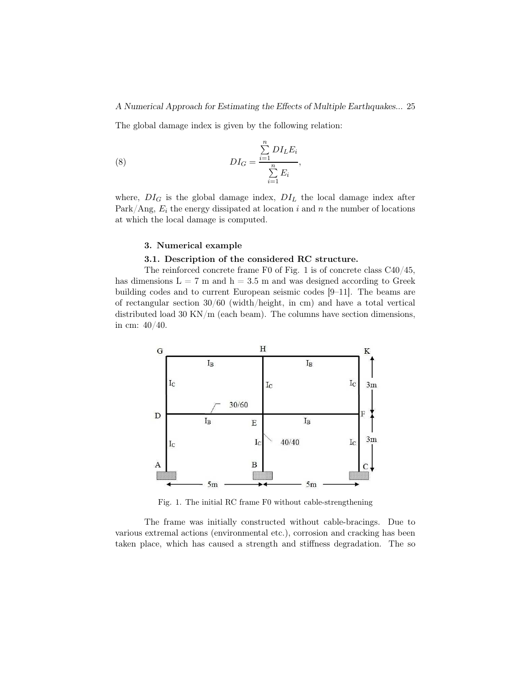#### A Numerical Approach for Estimating the Effects of Multiple Earthquakes... 25

The global damage index is given by the following relation:

(8) 
$$
DI_G = \frac{\sum\limits_{i=1}^{n} DI_L E_i}{\sum\limits_{i=1}^{n} E_i},
$$

where,  $DI_G$  is the global damage index,  $DI_L$  the local damage index after Park/Ang,  $E_i$  the energy dissipated at location i and n the number of locations at which the local damage is computed.

## 3. Numerical example

#### 3.1. Description of the considered RC structure.

The reinforced concrete frame F0 of Fig. 1 is of concrete class C40/45, has dimensions  $L = 7$  m and  $h = 3.5$  m and was designed according to Greek building codes and to current European seismic codes [9–11]. The beams are of rectangular section 30/60 (width/height, in cm) and have a total vertical distributed load 30 KN/m (each beam). The columns have section dimensions, in cm: 40/40.



Fig. 1. The initial RC frame F0 without cable-strengthening

The frame was initially constructed without cable-bracings. Due to various extremal actions (environmental etc.), corrosion and cracking has been taken place, which has caused a strength and stiffness degradation. The so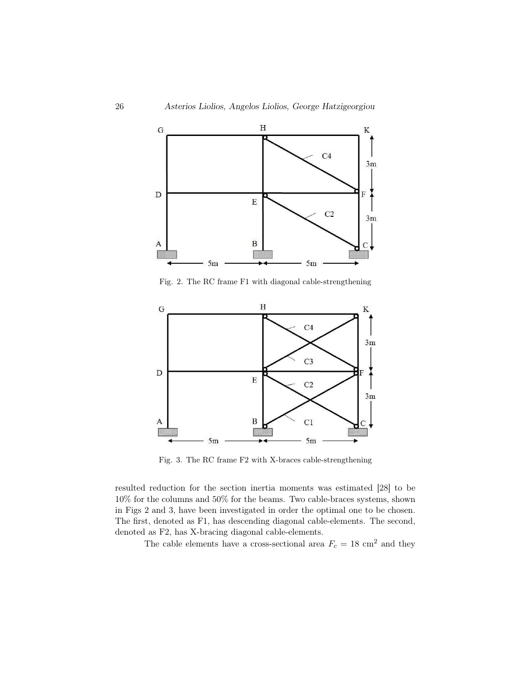

Fig. 2. The RC frame F1 with diagonal cable-strengthening



Fig. 3. The RC frame F2 with X-braces cable-strengthening

resulted reduction for the section inertia moments was estimated [28] to be 10% for the columns and 50% for the beams. Two cable-braces systems, shown in Figs 2 and 3, have been investigated in order the optimal one to be chosen. The first, denoted as F1, has descending diagonal cable-elements. The second, denoted as F2, has X-bracing diagonal cable-elements.

The cable elements have a cross-sectional area  $F_c = 18$  cm<sup>2</sup> and they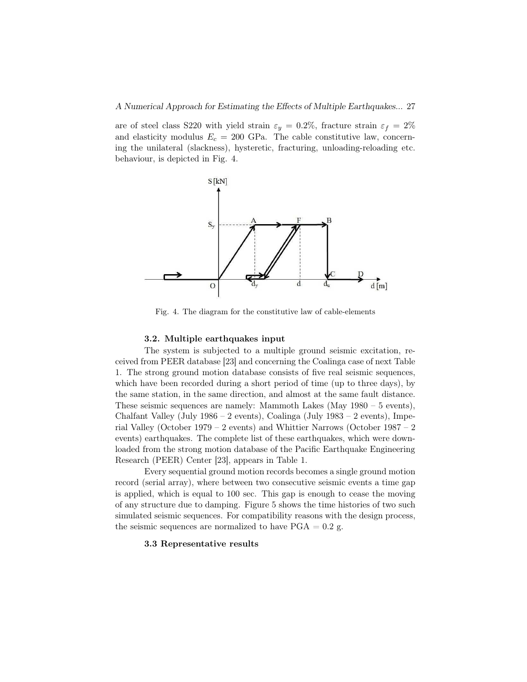are of steel class S220 with yield strain  $\varepsilon_y = 0.2\%$ , fracture strain  $\varepsilon_f = 2\%$ and elasticity modulus  $E_c = 200$  GPa. The cable constitutive law, concerning the unilateral (slackness), hysteretic, fracturing, unloading-reloading etc. behaviour, is depicted in Fig. 4.



Fig. 4. The diagram for the constitutive law of cable-elements

#### 3.2. Multiple earthquakes input

The system is subjected to a multiple ground seismic excitation, received from PEER database [23] and concerning the Coalinga case of next Table 1. The strong ground motion database consists of five real seismic sequences, which have been recorded during a short period of time (up to three days), by the same station, in the same direction, and almost at the same fault distance. These seismic sequences are namely: Mammoth Lakes (May 1980 – 5 events), Chalfant Valley (July 1986 – 2 events), Coalinga (July 1983 – 2 events), Imperial Valley (October 1979 – 2 events) and Whittier Narrows (October 1987 – 2 events) earthquakes. The complete list of these earthquakes, which were downloaded from the strong motion database of the Pacific Earthquake Engineering Research (PEER) Center [23], appears in Table 1.

Every sequential ground motion records becomes a single ground motion record (serial array), where between two consecutive seismic events a time gap is applied, which is equal to 100 sec. This gap is enough to cease the moving of any structure due to damping. Figure 5 shows the time histories of two such simulated seismic sequences. For compatibility reasons with the design process, the seismic sequences are normalized to have  $PGA = 0.2$  g.

## 3.3 Representative results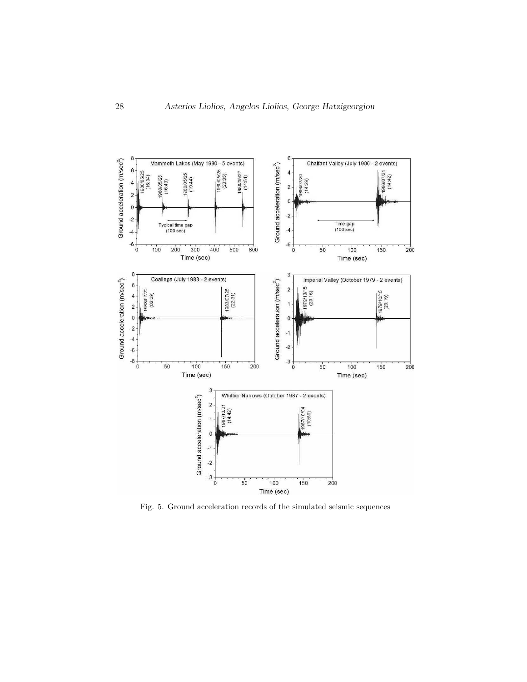

Fig. 5. Ground acceleration records of the simulated seismic sequences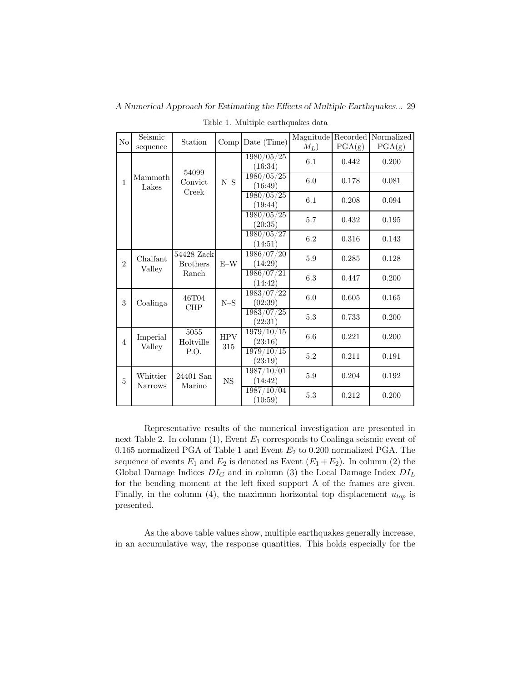A Numerical Approach for Estimating the Effects of Multiple Earthquakes... 29

|                | Seismic                    |                                        |                   |                                 | Magnitude | Recorded | Normalized |
|----------------|----------------------------|----------------------------------------|-------------------|---------------------------------|-----------|----------|------------|
| N <sub>o</sub> | sequence                   | Station                                | Comp              | Date (Time)                     | $M_L$ )   | PGA(g)   | PGA(g)     |
| $\mathbf{1}$   | Mammoth<br>Lakes           | 54099<br>Convict<br>Creek              | $_{\mathrm{N-S}}$ | 1980/05/25<br>(16:34)           | 6.1       | 0.442    | 0.200      |
|                |                            |                                        |                   | 1980/05/25<br>(16:49)           | 6.0       | 0.178    | 0.081      |
|                |                            |                                        |                   | 1980/05/25<br>(19:44)           | 6.1       | 0.208    | 0.094      |
|                |                            |                                        |                   | 1980/05/25<br>(20:35)           | 5.7       | 0.432    | 0.195      |
|                |                            |                                        |                   | 1980/05/27<br>(14:51)           | 6.2       | 0.316    | 0.143      |
| $\overline{2}$ | Chalfant                   | 54428 Zack<br><b>Brothers</b><br>Ranch | $E-W$             | $\frac{1986}{07/20}$<br>(14:29) | 5.9       | 0.285    | 0.128      |
|                | Valley                     |                                        |                   | 1986/07/21<br>(14:42)           | 6.3       | 0.447    | 0.200      |
| 3              | Coalinga                   | 46T04<br><b>CHP</b>                    | $_{\mathrm{N-S}}$ | 1983/07/22<br>(02:39)           | 6.0       | 0.605    | 0.165      |
|                |                            |                                        |                   | 1983/07/25<br>(22:31)           | 5.3       | 0.733    | 0.200      |
| $\overline{4}$ | Imperial<br>Valley         | 5055<br>Holtville<br>P.O.              | <b>HPV</b><br>315 | 1979/10/15<br>(23:16)           | 6.6       | 0.221    | 0.200      |
|                |                            |                                        |                   | 1979/10/15<br>(23:19)           | 5.2       | 0.211    | 0.191      |
| 5              | Whittier<br><b>Narrows</b> | 24401 San<br>Marino                    | $_{\rm NS}$       | 1987/10/01<br>(14:42)           | 5.9       | 0.204    | 0.192      |
|                |                            |                                        |                   | 1987/10/04<br>(10:59)           | 5.3       | 0.212    | 0.200      |

Table 1. Multiple earthquakes data

Representative results of the numerical investigation are presented in next Table 2. In column  $(1)$ , Event  $E_1$  corresponds to Coalinga seismic event of 0.165 normalized PGA of Table 1 and Event  $E_2$  to 0.200 normalized PGA. The sequence of events  $E_1$  and  $E_2$  is denoted as Event  $(E_1 + E_2)$ . In column (2) the Global Damage Indices  $DI_G$  and in column (3) the Local Damage Index  $DI_L$ for the bending moment at the left fixed support A of the frames are given. Finally, in the column (4), the maximum horizontal top displacement  $u_{top}$  is presented.

As the above table values show, multiple earthquakes generally increase, in an accumulative way, the response quantities. This holds especially for the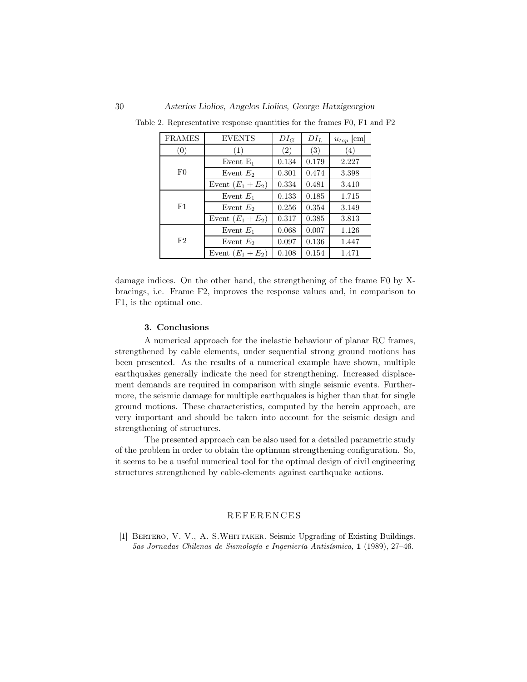| <b>FRAMES</b>  | <b>EVENTS</b>       | $DI_G$            | $DI_L$ | $u_{top}$  cm] |
|----------------|---------------------|-------------------|--------|----------------|
| (0)            | $\left(1\right)$    | $\left( 2\right)$ | (3)    | (4)            |
|                | Event $E_1$         | 0.134             | 0.179  | 2.227          |
| F <sub>0</sub> | Event $E_2$         | 0.301             | 0.474  | 3.398          |
|                | Event $(E_1 + E_2)$ | 0.334             | 0.481  | 3.410          |
|                | Event $E_1$         | 0.133             | 0.185  | 1.715          |
| F1             | Event $E_2$         | 0.256             | 0.354  | 3.149          |
|                | Event $(E_1 + E_2)$ | 0.317             | 0.385  | 3.813          |
|                | Event $E_1$         | 0.068             | 0.007  | 1.126          |
| F <sub>2</sub> | Event $E_2$         | 0.097             | 0.136  | 1.447          |
|                | Event $(E_1 + E_2)$ | 0.108             | 0.154  | 1.471          |

Table 2. Representative response quantities for the frames F0, F1 and F2

damage indices. On the other hand, the strengthening of the frame F0 by Xbracings, i.e. Frame F2, improves the response values and, in comparison to F1, is the optimal one.

## 3. Conclusions

A numerical approach for the inelastic behaviour of planar RC frames, strengthened by cable elements, under sequential strong ground motions has been presented. As the results of a numerical example have shown, multiple earthquakes generally indicate the need for strengthening. Increased displacement demands are required in comparison with single seismic events. Furthermore, the seismic damage for multiple earthquakes is higher than that for single ground motions. These characteristics, computed by the herein approach, are very important and should be taken into account for the seismic design and strengthening of structures.

The presented approach can be also used for a detailed parametric study of the problem in order to obtain the optimum strengthening configuration. So, it seems to be a useful numerical tool for the optimal design of civil engineering structures strengthened by cable-elements against earthquake actions.

## **REFERENCES**

[1] Bertero, V. V., A. S.Whittaker. Seismic Upgrading of Existing Buildings. 5as Jornadas Chilenas de Sismología e Ingeniería Antisísmica, 1 (1989), 27-46.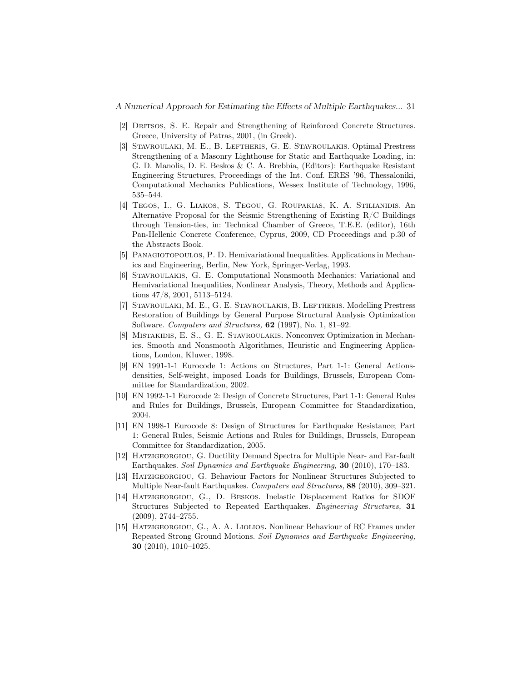- [2] Dritsos, S. E. Repair and Strengthening of Reinforced Concrete Structures. Greece, University of Patras, 2001, (in Greek).
- [3] Stavroulaki, M. E., B. Leftheris, G. E. Stavroulakis. Optimal Prestress Strengthening of a Masonry Lighthouse for Static and Earthquake Loading, in: G. D. Manolis, D. E. Beskos & C. A. Brebbia, (Editors): Earthquake Resistant Engineering Structures, Proceedings of the Int. Conf. ERES '96, Thessaloniki, Computational Mechanics Publications, Wessex Institute of Technology, 1996, 535–544.
- [4] Tegos, I., G. Liakos, S. Tegou, G. Roupakias, K. A. Stilianidis. An Alternative Proposal for the Seismic Strengthening of Existing  $R/C$  Buildings through Tension-ties, in: Technical Chamber of Greece, T.E.E. (editor), 16th Pan-Hellenic Concrete Conference, Cyprus, 2009, CD Proceedings and p.30 of the Abstracts Book.
- [5] Panagiotopoulos, P. D. Hemivariational Inequalities. Applications in Mechanics and Engineering, Berlin, New York, Springer-Verlag, 1993.
- [6] Stavroulakis, G. E. Computational Nonsmooth Mechanics: Variational and Hemivariational Inequalities, Nonlinear Analysis, Theory, Methods and Applications 47/8, 2001, 5113–5124.
- [7] Stavroulaki, M. E., G. E. Stavroulakis, B. Leftheris. Modelling Prestress Restoration of Buildings by General Purpose Structural Analysis Optimization Software. Computers and Structures, 62 (1997), No. 1, 81–92.
- [8] Mistakidis, E. S., G. E. Stavroulakis. Nonconvex Optimization in Mechanics. Smooth and Nonsmooth Algorithmes, Heuristic and Engineering Applications, London, Kluwer, 1998.
- [9] EN 1991-1-1 Eurocode 1: Actions on Structures, Part 1-1: General Actionsdensities, Self-weight, imposed Loads for Buildings, Brussels, European Committee for Standardization, 2002.
- [10] EN 1992-1-1 Eurocode 2: Design of Concrete Structures, Part 1-1: General Rules and Rules for Buildings, Brussels, European Committee for Standardization, 2004.
- [11] EN 1998-1 Eurocode 8: Design of Structures for Earthquake Resistance; Part 1: General Rules, Seismic Actions and Rules for Buildings, Brussels, European Committee for Standardization, 2005.
- [12] Hatzigeorgiou, G. Ductility Demand Spectra for Multiple Near- and Far-fault Earthquakes. Soil Dynamics and Earthquake Engineering, 30 (2010), 170–183.
- [13] Hatzigeorgiou, G. Behaviour Factors for Nonlinear Structures Subjected to Multiple Near-fault Earthquakes. Computers and Structures, 88 (2010), 309–321.
- [14] HATZIGEORGIOU, G., D. BESKOS. Inelastic Displacement Ratios for SDOF Structures Subjected to Repeated Earthquakes. Engineering Structures, 31 (2009), 2744–2755.
- [15] Hatzigeorgiou, G., A. A. Liolios. Nonlinear Behaviour of RC Frames under Repeated Strong Ground Motions. Soil Dynamics and Earthquake Engineering, 30 (2010), 1010–1025.